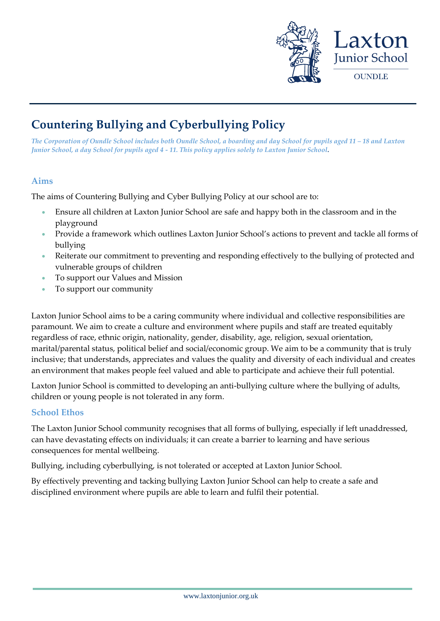

# **Countering Bullying and Cyberbullying Policy**

*The Corporation of Oundle School includes both Oundle School, a boarding and day School for pupils aged 11 – 18 and Laxton Junior School, a day School for pupils aged 4 - 11. This policy applies solely to Laxton Junior School.* 

#### **Aims**

The aims of Countering Bullying and Cyber Bullying Policy at our school are to:

- Ensure all children at Laxton Junior School are safe and happy both in the classroom and in the playground
- Provide a framework which outlines Laxton Junior School's actions to prevent and tackle all forms of bullying
- Reiterate our commitment to preventing and responding effectively to the bullying of protected and vulnerable groups of children
- To support our Values and Mission
- To support our community

Laxton Junior School aims to be a caring community where individual and collective responsibilities are paramount. We aim to create a culture and environment where pupils and staff are treated equitably regardless of race, ethnic origin, nationality, gender, disability, age, religion, sexual orientation, marital/parental status, political belief and social/economic group. We aim to be a community that is truly inclusive; that understands, appreciates and values the quality and diversity of each individual and creates an environment that makes people feel valued and able to participate and achieve their full potential.

Laxton Junior School is committed to developing an anti-bullying culture where the bullying of adults, children or young people is not tolerated in any form.

#### **School Ethos**

The Laxton Junior School community recognises that all forms of bullying, especially if left unaddressed, can have devastating effects on individuals; it can create a barrier to learning and have serious consequences for mental wellbeing.

Bullying, including cyberbullying, is not tolerated or accepted at Laxton Junior School.

By effectively preventing and tacking bullying Laxton Junior School can help to create a safe and disciplined environment where pupils are able to learn and fulfil their potential.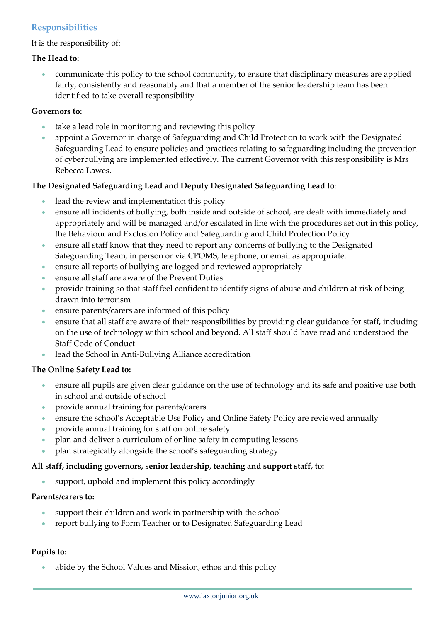## **Responsibilities**

#### It is the responsibility of:

#### **The Head to:**

 communicate this policy to the school community, to ensure that disciplinary measures are applied fairly, consistently and reasonably and that a member of the senior leadership team has been identified to take overall responsibility

#### **Governors to:**

- take a lead role in monitoring and reviewing this policy
- appoint a Governor in charge of Safeguarding and Child Protection to work with the Designated Safeguarding Lead to ensure policies and practices relating to safeguarding including the prevention of cyberbullying are implemented effectively. The current Governor with this responsibility is Mrs Rebecca Lawes.

#### **The Designated Safeguarding Lead and Deputy Designated Safeguarding Lead to**:

- lead the review and implementation this policy
- ensure all incidents of bullying, both inside and outside of school, are dealt with immediately and appropriately and will be managed and/or escalated in line with the procedures set out in this policy, the Behaviour and Exclusion Policy and Safeguarding and Child Protection Policy
- ensure all staff know that they need to report any concerns of bullying to the Designated Safeguarding Team, in person or via CPOMS, telephone, or email as appropriate.
- ensure all reports of bullying are logged and reviewed appropriately
- ensure all staff are aware of the Prevent Duties
- provide training so that staff feel confident to identify signs of abuse and children at risk of being drawn into terrorism
- ensure parents/carers are informed of this policy
- ensure that all staff are aware of their responsibilities by providing clear guidance for staff, including on the use of technology within school and beyond. All staff should have read and understood the Staff Code of Conduct
- lead the School in Anti-Bullying Alliance accreditation

#### **The Online Safety Lead to:**

- ensure all pupils are given clear guidance on the use of technology and its safe and positive use both in school and outside of school
- provide annual training for parents/carers
- ensure the school's Acceptable Use Policy and Online Safety Policy are reviewed annually
- provide annual training for staff on online safety
- plan and deliver a curriculum of online safety in computing lessons
- plan strategically alongside the school's safeguarding strategy

#### **All staff, including governors, senior leadership, teaching and support staff, to:**

support, uphold and implement this policy accordingly

#### **Parents/carers to:**

- support their children and work in partnership with the school
- report bullying to Form Teacher or to Designated Safeguarding Lead

#### **Pupils to:**

abide by the School Values and Mission, ethos and this policy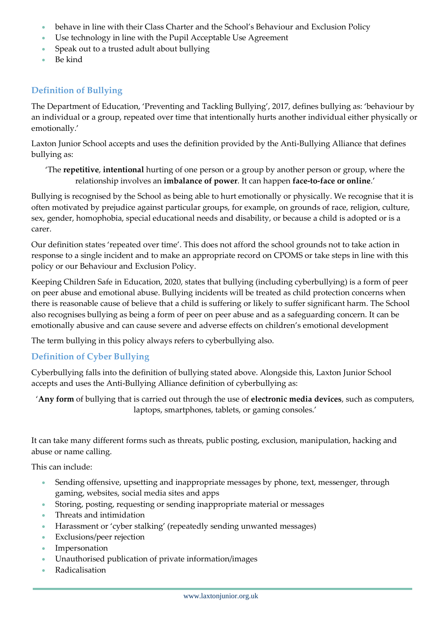- behave in line with their Class Charter and the School's Behaviour and Exclusion Policy
- Use technology in line with the Pupil Acceptable Use Agreement
- Speak out to a trusted adult about bullying
- Be kind

## **Definition of Bullying**

The Department of Education, 'Preventing and Tackling Bullying', 2017, defines bullying as: 'behaviour by an individual or a group, repeated over time that intentionally hurts another individual either physically or emotionally.'

Laxton Junior School accepts and uses the definition provided by the Anti-Bullying Alliance that defines bullying as:

'The **repetitive**, **intentional** hurting of one person or a group by another person or group, where the relationship involves an **imbalance of power**. It can happen **face-to-face or online**.'

Bullying is recognised by the School as being able to hurt emotionally or physically. We recognise that it is often motivated by prejudice against particular groups, for example, on grounds of race, religion, culture, sex, gender, homophobia, special educational needs and disability, or because a child is adopted or is a carer.

Our definition states 'repeated over time'. This does not afford the school grounds not to take action in response to a single incident and to make an appropriate record on CPOMS or take steps in line with this policy or our Behaviour and Exclusion Policy.

Keeping Children Safe in Education, 2020, states that bullying (including cyberbullying) is a form of peer on peer abuse and emotional abuse. Bullying incidents will be treated as child protection concerns when there is reasonable cause of believe that a child is suffering or likely to suffer significant harm. The School also recognises bullying as being a form of peer on peer abuse and as a safeguarding concern. It can be emotionally abusive and can cause severe and adverse effects on children's emotional development

The term bullying in this policy always refers to cyberbullying also.

## **Definition of Cyber Bullying**

Cyberbullying falls into the definition of bullying stated above. Alongside this, Laxton Junior School accepts and uses the Anti-Bullying Alliance definition of cyberbullying as:

'**Any form** of bullying that is carried out through the use of **electronic media devices**, such as computers, laptops, smartphones, tablets, or gaming consoles.'

It can take many different forms such as threats, public posting, exclusion, manipulation, hacking and abuse or name calling.

This can include:

- Sending offensive, upsetting and inappropriate messages by phone, text, messenger, through gaming, websites, social media sites and apps
- Storing, posting, requesting or sending inappropriate material or messages
- Threats and intimidation
- Harassment or 'cyber stalking' (repeatedly sending unwanted messages)
- Exclusions/peer rejection
- Impersonation
- Unauthorised publication of private information/images
- Radicalisation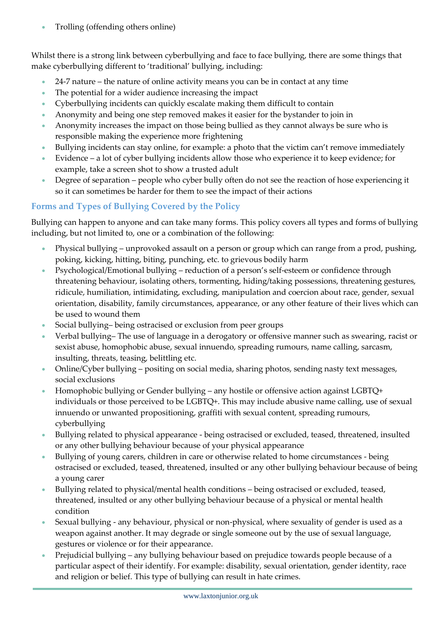Trolling (offending others online)

Whilst there is a strong link between cyberbullying and face to face bullying, there are some things that make cyberbullying different to 'traditional' bullying, including:

- 24-7 nature the nature of online activity means you can be in contact at any time
- The potential for a wider audience increasing the impact
- Cyberbullying incidents can quickly escalate making them difficult to contain
- Anonymity and being one step removed makes it easier for the bystander to join in
- Anonymity increases the impact on those being bullied as they cannot always be sure who is responsible making the experience more frightening
- Bullying incidents can stay online, for example: a photo that the victim can't remove immediately
- Evidence a lot of cyber bullying incidents allow those who experience it to keep evidence; for example, take a screen shot to show a trusted adult
- Degree of separation people who cyber bully often do not see the reaction of hose experiencing it so it can sometimes be harder for them to see the impact of their actions

## **Forms and Types of Bullying Covered by the Policy**

Bullying can happen to anyone and can take many forms. This policy covers all types and forms of bullying including, but not limited to, one or a combination of the following:

- Physical bullying unprovoked assault on a person or group which can range from a prod, pushing, poking, kicking, hitting, biting, punching, etc. to grievous bodily harm
- Psychological/Emotional bullying reduction of a person's self-esteem or confidence through threatening behaviour, isolating others, tormenting, hiding/taking possessions, threatening gestures, ridicule, humiliation, intimidating, excluding, manipulation and coercion about race, gender, sexual orientation, disability, family circumstances, appearance, or any other feature of their lives which can be used to wound them
- Social bullying– being ostracised or exclusion from peer groups
- Verbal bullying– The use of language in a derogatory or offensive manner such as swearing, racist or sexist abuse, homophobic abuse, sexual innuendo, spreading rumours, name calling, sarcasm, insulting, threats, teasing, belittling etc.
- Online/Cyber bullying positing on social media, sharing photos, sending nasty text messages, social exclusions
- Homophobic bullying or Gender bullying any hostile or offensive action against LGBTQ+ individuals or those perceived to be LGBTQ+. This may include abusive name calling, use of sexual innuendo or unwanted propositioning, graffiti with sexual content, spreading rumours, cyberbullying
- Bullying related to physical appearance being ostracised or excluded, teased, threatened, insulted or any other bullying behaviour because of your physical appearance
- Bullying of young carers, children in care or otherwise related to home circumstances being ostracised or excluded, teased, threatened, insulted or any other bullying behaviour because of being a young carer
- Bullying related to physical/mental health conditions being ostracised or excluded, teased, threatened, insulted or any other bullying behaviour because of a physical or mental health condition
- Sexual bullying any behaviour, physical or non-physical, where sexuality of gender is used as a weapon against another. It may degrade or single someone out by the use of sexual language, gestures or violence or for their appearance.
- Prejudicial bullying any bullying behaviour based on prejudice towards people because of a particular aspect of their identify. For example: disability, sexual orientation, gender identity, race and religion or belief. This type of bullying can result in hate crimes.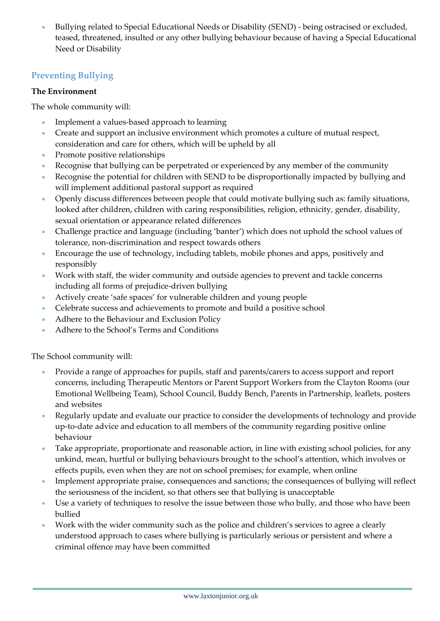Bullying related to Special Educational Needs or Disability (SEND) - being ostracised or excluded, teased, threatened, insulted or any other bullying behaviour because of having a Special Educational Need or Disability

## **Preventing Bullying**

#### **The Environment**

The whole community will:

- Implement a values-based approach to learning
- Create and support an inclusive environment which promotes a culture of mutual respect, consideration and care for others, which will be upheld by all
- Promote positive relationships
- Recognise that bullying can be perpetrated or experienced by any member of the community
- Recognise the potential for children with SEND to be disproportionally impacted by bullying and will implement additional pastoral support as required
- Openly discuss differences between people that could motivate bullying such as: family situations, looked after children, children with caring responsibilities, religion, ethnicity, gender, disability, sexual orientation or appearance related differences
- Challenge practice and language (including 'banter') which does not uphold the school values of tolerance, non-discrimination and respect towards others
- Encourage the use of technology, including tablets, mobile phones and apps, positively and responsibly
- Work with staff, the wider community and outside agencies to prevent and tackle concerns including all forms of prejudice-driven bullying
- Actively create 'safe spaces' for vulnerable children and young people
- Celebrate success and achievements to promote and build a positive school
- Adhere to the Behaviour and Exclusion Policy
- Adhere to the School's Terms and Conditions

The School community will:

- Provide a range of approaches for pupils, staff and parents/carers to access support and report concerns, including Therapeutic Mentors or Parent Support Workers from the Clayton Rooms (our Emotional Wellbeing Team), School Council, Buddy Bench, Parents in Partnership, leaflets, posters and websites
- Regularly update and evaluate our practice to consider the developments of technology and provide up-to-date advice and education to all members of the community regarding positive online behaviour
- Take appropriate, proportionate and reasonable action, in line with existing school policies, for any unkind, mean, hurtful or bullying behaviours brought to the school's attention, which involves or effects pupils, even when they are not on school premises; for example, when online
- Implement appropriate praise, consequences and sanctions; the consequences of bullying will reflect the seriousness of the incident, so that others see that bullying is unacceptable
- Use a variety of techniques to resolve the issue between those who bully, and those who have been bullied
- Work with the wider community such as the police and children's services to agree a clearly understood approach to cases where bullying is particularly serious or persistent and where a criminal offence may have been committed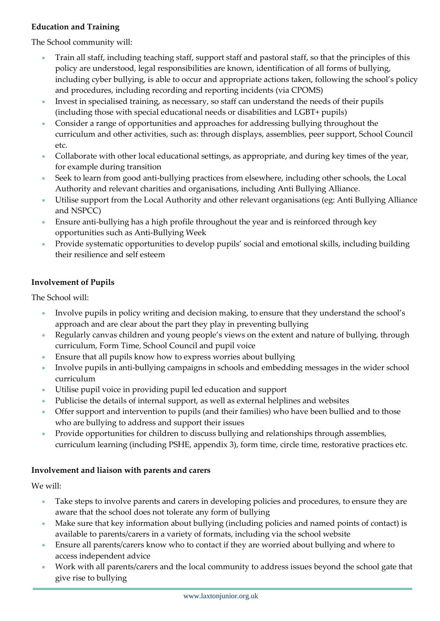## **Education and Training**

The School community will:

- Train all staff, including teaching staff, support staff and pastoral staff, so that the principles of this policy are understood, legal responsibilities are known, identification of all forms of bullying, including cyber bullying, is able to occur and appropriate actions taken, following the school's policy and procedures, including recording and reporting incidents (via CPOMS)
- Invest in specialised training, as necessary, so staff can understand the needs of their pupils (including those with special educational needs or disabilities and LGBT+ pupils)
- Consider a range of opportunities and approaches for addressing bullying throughout the curriculum and other activities, such as: through displays, assemblies, peer support, School Council etc.
- Collaborate with other local educational settings, as appropriate, and during key times of the year, for example during transition
- Seek to learn from good anti-bullying practices from elsewhere, including other schools, the Local Authority and relevant charities and organisations, including Anti Bullying Alliance.
- Utilise support from the Local Authority and other relevant organisations (eg: Anti Bullying Alliance and NSPCC)
- Ensure anti-bullying has a high profile throughout the year and is reinforced through key opportunities such as Anti-Bullying Week
- Provide systematic opportunities to develop pupils' social and emotional skills, including building their resilience and self esteem

#### **Involvement of Pupils**

The School will:

- Involve pupils in policy writing and decision making, to ensure that they understand the school's approach and are clear about the part they play in preventing bullying
- Regularly canvas children and young people's views on the extent and nature of bullying, through curriculum, Form Time, School Council and pupil voice
- Ensure that all pupils know how to express worries about bullying
- Involve pupils in anti-bullying campaigns in schools and embedding messages in the wider school curriculum
- Utilise pupil voice in providing pupil led education and support
- Publicise the details of internal support, as well as external helplines and websites
- Offer support and intervention to pupils (and their families) who have been bullied and to those who are bullying to address and support their issues
- **Provide opportunities for children to discuss bullying and relationships through assemblies,** curriculum learning (including PSHE, appendix 3), form time, circle time, restorative practices etc.

#### **Involvement and liaison with parents and carers**

We will:

- Take steps to involve parents and carers in developing policies and procedures, to ensure they are aware that the school does not tolerate any form of bullying
- Make sure that key information about bullying (including policies and named points of contact) is available to parents/carers in a variety of formats, including via the school website
- Ensure all parents/carers know who to contact if they are worried about bullying and where to access independent advice
- Work with all parents/carers and the local community to address issues beyond the school gate that give rise to bullying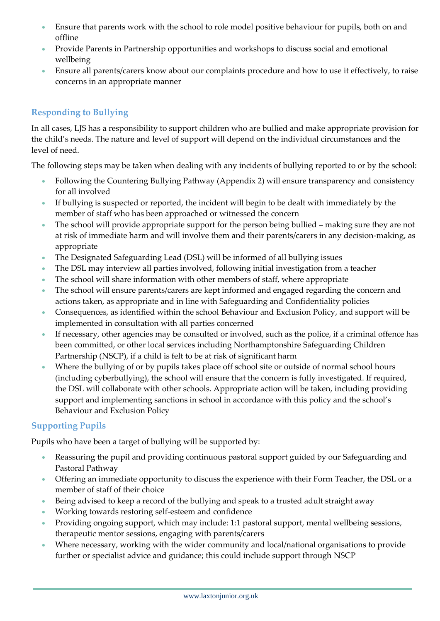- Ensure that parents work with the school to role model positive behaviour for pupils, both on and offline
- Provide Parents in Partnership opportunities and workshops to discuss social and emotional wellbeing
- Ensure all parents/carers know about our complaints procedure and how to use it effectively, to raise concerns in an appropriate manner

## **Responding to Bullying**

In all cases, LJS has a responsibility to support children who are bullied and make appropriate provision for the child's needs. The nature and level of support will depend on the individual circumstances and the level of need.

The following steps may be taken when dealing with any incidents of bullying reported to or by the school:

- Following the Countering Bullying Pathway (Appendix 2) will ensure transparency and consistency for all involved
- If bullying is suspected or reported, the incident will begin to be dealt with immediately by the member of staff who has been approached or witnessed the concern
- The school will provide appropriate support for the person being bullied making sure they are not at risk of immediate harm and will involve them and their parents/carers in any decision-making, as appropriate
- The Designated Safeguarding Lead (DSL) will be informed of all bullying issues
- The DSL may interview all parties involved, following initial investigation from a teacher
- The school will share information with other members of staff, where appropriate
- The school will ensure parents/carers are kept informed and engaged regarding the concern and actions taken, as appropriate and in line with Safeguarding and Confidentiality policies
- Consequences, as identified within the school Behaviour and Exclusion Policy, and support will be implemented in consultation with all parties concerned
- If necessary, other agencies may be consulted or involved, such as the police, if a criminal offence has been committed, or other local services including Northamptonshire Safeguarding Children Partnership (NSCP), if a child is felt to be at risk of significant harm
- Where the bullying of or by pupils takes place off school site or outside of normal school hours (including cyberbullying), the school will ensure that the concern is fully investigated. If required, the DSL will collaborate with other schools. Appropriate action will be taken, including providing support and implementing sanctions in school in accordance with this policy and the school's Behaviour and Exclusion Policy

## **Supporting Pupils**

Pupils who have been a target of bullying will be supported by:

- Reassuring the pupil and providing continuous pastoral support guided by our Safeguarding and Pastoral Pathway
- Offering an immediate opportunity to discuss the experience with their Form Teacher, the DSL or a member of staff of their choice
- Being advised to keep a record of the bullying and speak to a trusted adult straight away
- Working towards restoring self-esteem and confidence
- Providing ongoing support, which may include: 1:1 pastoral support, mental wellbeing sessions, therapeutic mentor sessions, engaging with parents/carers
- Where necessary, working with the wider community and local/national organisations to provide further or specialist advice and guidance; this could include support through NSCP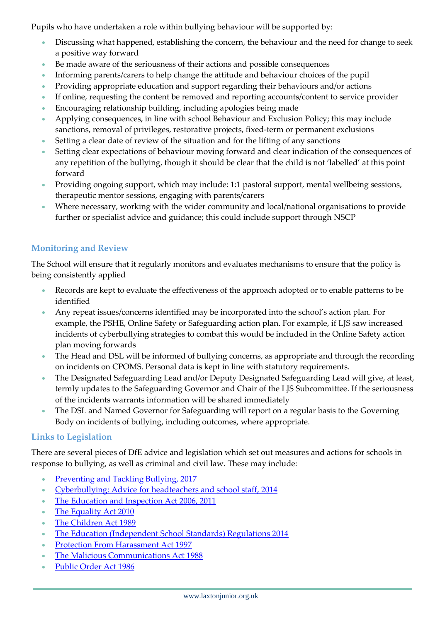Pupils who have undertaken a role within bullying behaviour will be supported by:

- Discussing what happened, establishing the concern, the behaviour and the need for change to seek a positive way forward
- Be made aware of the seriousness of their actions and possible consequences
- Informing parents/carers to help change the attitude and behaviour choices of the pupil
- Providing appropriate education and support regarding their behaviours and/or actions
- If online, requesting the content be removed and reporting accounts/content to service provider
- Encouraging relationship building, including apologies being made
- Applying consequences, in line with school Behaviour and Exclusion Policy; this may include sanctions, removal of privileges, restorative projects, fixed-term or permanent exclusions
- Setting a clear date of review of the situation and for the lifting of any sanctions
- Setting clear expectations of behaviour moving forward and clear indication of the consequences of any repetition of the bullying, though it should be clear that the child is not 'labelled' at this point forward
- Providing ongoing support, which may include: 1:1 pastoral support, mental wellbeing sessions, therapeutic mentor sessions, engaging with parents/carers
- Where necessary, working with the wider community and local/national organisations to provide further or specialist advice and guidance; this could include support through NSCP

## **Monitoring and Review**

The School will ensure that it regularly monitors and evaluates mechanisms to ensure that the policy is being consistently applied

- Records are kept to evaluate the effectiveness of the approach adopted or to enable patterns to be identified
- Any repeat issues/concerns identified may be incorporated into the school's action plan. For example, the PSHE, Online Safety or Safeguarding action plan. For example, if LJS saw increased incidents of cyberbullying strategies to combat this would be included in the Online Safety action plan moving forwards
- The Head and DSL will be informed of bullying concerns, as appropriate and through the recording on incidents on CPOMS. Personal data is kept in line with statutory requirements.
- The Designated Safeguarding Lead and/or Deputy Designated Safeguarding Lead will give, at least, termly updates to the Safeguarding Governor and Chair of the LJS Subcommittee. If the seriousness of the incidents warrants information will be shared immediately
- The DSL and Named Governor for Safeguarding will report on a regular basis to the Governing Body on incidents of bullying, including outcomes, where appropriate.

## **Links to Legislation**

There are several pieces of DfE advice and legislation which set out measures and actions for schools in response to bullying, as well as criminal and civil law. These may include:

- [Preventing and Tackling Bullying, 2017](https://www.gov.uk/government/publications/preventing-and-tackling-bullying)
- [Cyberbullying: Advice for headteachers and school staff, 2014](https://www.gov.uk/government/publications/preventing-and-tackling-bullying)
- [The Education and Inspection Act 2006, 2011](https://www.legislation.gov.uk/ukpga/2006/40/contents)
- [The Equality Act 2010](https://www.legislation.gov.uk/ukpga/2010/15/contents)
- [The Children Act 1989](https://www.legislation.gov.uk/ukpga/1989/41/contents)
- [The Education \(Independent School Standards\) Regulations 2014](https://www.legislation.gov.uk/uksi/2014/3283/schedule/made)
- **[Protection From Harassment Act 1997](https://www.legislation.gov.uk/ukpga/1997/40/contents)**
- [The Malicious Communications Act 1988](https://www.legislation.gov.uk/ukpga/1988/27/contents)
- [Public Order Act 1986](https://www.legislation.gov.uk/ukpga/1986/64)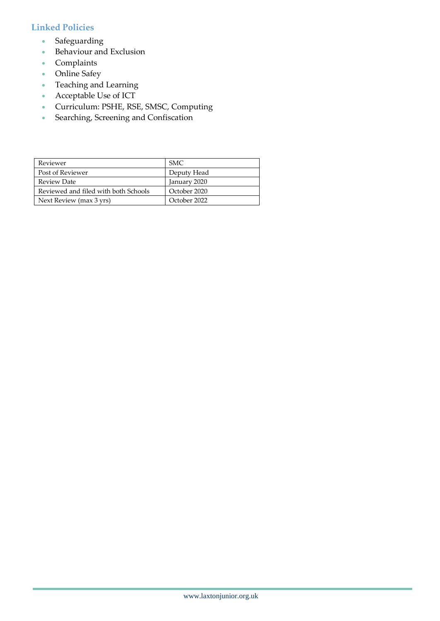## **Linked Policies**

- **Safeguarding**
- **Behaviour and Exclusion**
- Complaints
- Online Safey
- Teaching and Learning
- Acceptable Use of ICT
- Curriculum: PSHE, RSE, SMSC, Computing
- Searching, Screening and Confiscation

| Reviewer                             | SMC.         |
|--------------------------------------|--------------|
| Post of Reviewer                     | Deputy Head  |
| <b>Review Date</b>                   | January 2020 |
| Reviewed and filed with both Schools | October 2020 |
| Next Review (max 3 yrs)              | October 2022 |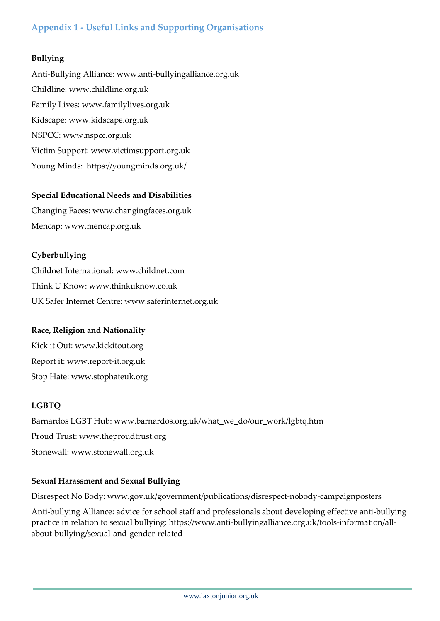## **Appendix 1 - Useful Links and Supporting Organisations**

#### **Bullying**

Anti-Bullying Alliance: [www.anti-bullyingalliance.org.uk](http://www.anti-bullyingalliance.org.uk/) Childline: [www.childline.org.uk](http://www.childline.org.uk/)  Family Lives: [www.familylives.org.uk](http://www.familylives.org.uk/)  Kidscape: [www.kidscape.org.uk](http://www.kidscape.org.uk/) NSPCC: [www.nspcc.org.uk](http://www.nspcc.org.uk/)  Victim Support: [www.victimsupport.org.uk](http://www.victimsupport.org.uk/) Young Minds: <https://youngminds.org.uk/>

#### **Special Educational Needs and Disabilities**

Changing Faces: [www.changingfaces.org.uk](http://www.changingfaces.org.uk/)  Mencap: [www.mencap.org.uk](http://www.mencap.org.uk/)

#### **Cyberbullying**

Childnet International: [www.childnet.com](http://www.childnet.com/)  Think U Know: [www.thinkuknow.co.uk](http://www.thinkuknow.co.uk/)  UK Safer Internet Centre: [www.saferinternet.org.uk](http://www.saferinternet.org.uk/) 

#### **Race, Religion and Nationality**

Kick it Out: [www.kickitout.org](http://www.kickitout.org/)  Report it[: www.report-it.org.uk](http://www.report-it.org.uk/)  Stop Hate: [www.stophateuk.org](http://www.stophateuk.org/)

## **LGBTQ**

Barnardos LGBT Hub: [www.barnardos.org.uk/what\\_we\\_do/our\\_work/lgbtq.htm](http://www.barnardos.org.uk/what_we_do/our_work/lgbtq.htm) Proud Trust: [www.theproudtrust.org](http://www.theproudtrust.org/)  Stonewall: [www.stonewall.org.uk](http://www.stonewall.org.uk/)

#### **Sexual Harassment and Sexual Bullying**

Disrespect No Body: [www.gov.uk/government/publications/disrespect-nobody-campaignposters](http://www.gov.uk/government/publications/disrespect-nobody-campaignposters)

Anti-bullying Alliance: advice for school staff and professionals about developing effective anti-bullying practice in relation to sexual bullying: [https://www.anti-bullyingalliance.org.uk/tools-information/all](https://www.anti-bullyingalliance.org.uk/tools-information/all-about-bullying/sexual-and-gender-related)[about-bullying/sexual-and-gender-related](https://www.anti-bullyingalliance.org.uk/tools-information/all-about-bullying/sexual-and-gender-related)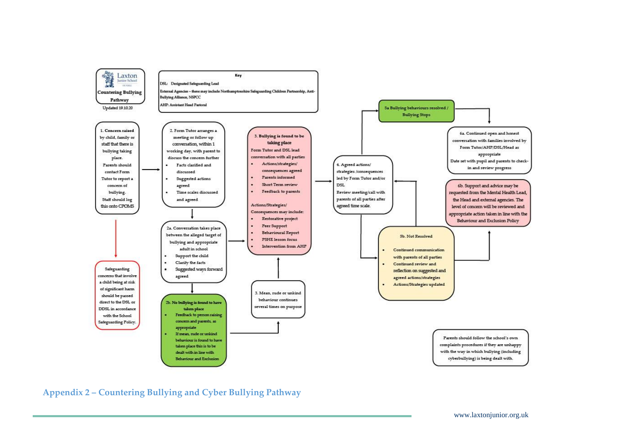

**Appendix 2 – Countering Bullying and Cyber Bullying Pathway**